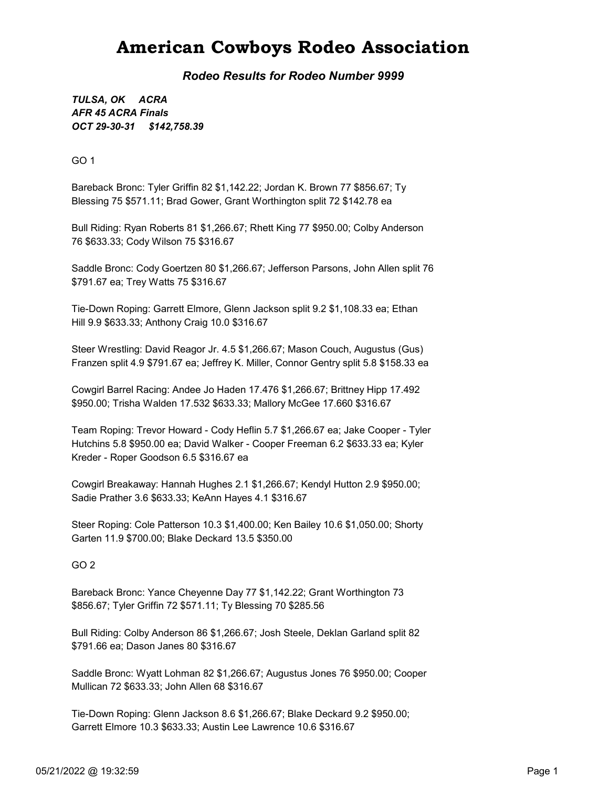### American Cowboys Rodeo Association

Rodeo Results for Rodeo Number 9999

OCT 29-30-31 \$142,758.39 TULSA, OK ACRA AFR 45 ACRA Finals

GO 1

Bareback Bronc: Tyler Griffin 82 \$1,142.22; Jordan K. Brown 77 \$856.67; Ty Blessing 75 \$571.11; Brad Gower, Grant Worthington split 72 \$142.78 ea

Bull Riding: Ryan Roberts 81 \$1,266.67; Rhett King 77 \$950.00; Colby Anderson 76 \$633.33; Cody Wilson 75 \$316.67

Saddle Bronc: Cody Goertzen 80 \$1,266.67; Jefferson Parsons, John Allen split 76 \$791.67 ea; Trey Watts 75 \$316.67

Tie-Down Roping: Garrett Elmore, Glenn Jackson split 9.2 \$1,108.33 ea; Ethan Hill 9.9 \$633.33; Anthony Craig 10.0 \$316.67

Steer Wrestling: David Reagor Jr. 4.5 \$1,266.67; Mason Couch, Augustus (Gus) Franzen split 4.9 \$791.67 ea; Jeffrey K. Miller, Connor Gentry split 5.8 \$158.33 ea

Cowgirl Barrel Racing: Andee Jo Haden 17.476 \$1,266.67; Brittney Hipp 17.492 \$950.00; Trisha Walden 17.532 \$633.33; Mallory McGee 17.660 \$316.67

Team Roping: Trevor Howard - Cody Heflin 5.7 \$1,266.67 ea; Jake Cooper - Tyler Hutchins 5.8 \$950.00 ea; David Walker - Cooper Freeman 6.2 \$633.33 ea; Kyler Kreder - Roper Goodson 6.5 \$316.67 ea

Cowgirl Breakaway: Hannah Hughes 2.1 \$1,266.67; Kendyl Hutton 2.9 \$950.00; Sadie Prather 3.6 \$633.33; KeAnn Hayes 4.1 \$316.67

Steer Roping: Cole Patterson 10.3 \$1,400.00; Ken Bailey 10.6 \$1,050.00; Shorty Garten 11.9 \$700.00; Blake Deckard 13.5 \$350.00

GO 2

Bareback Bronc: Yance Cheyenne Day 77 \$1,142.22; Grant Worthington 73 \$856.67; Tyler Griffin 72 \$571.11; Ty Blessing 70 \$285.56

Bull Riding: Colby Anderson 86 \$1,266.67; Josh Steele, Deklan Garland split 82 \$791.66 ea; Dason Janes 80 \$316.67

Saddle Bronc: Wyatt Lohman 82 \$1,266.67; Augustus Jones 76 \$950.00; Cooper Mullican 72 \$633.33; John Allen 68 \$316.67

Tie-Down Roping: Glenn Jackson 8.6 \$1,266.67; Blake Deckard 9.2 \$950.00; Garrett Elmore 10.3 \$633.33; Austin Lee Lawrence 10.6 \$316.67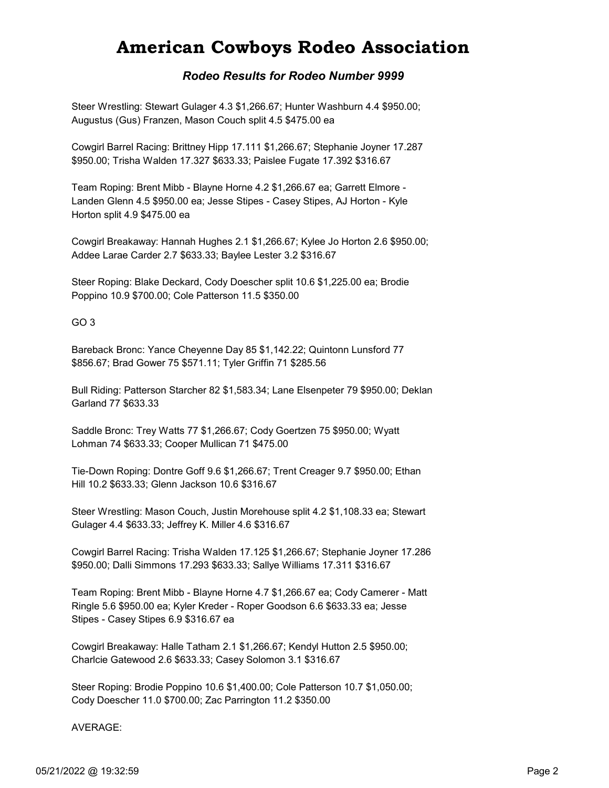# American Cowboys Rodeo Association

#### Rodeo Results for Rodeo Number 9999

Steer Wrestling: Stewart Gulager 4.3 \$1,266.67; Hunter Washburn 4.4 \$950.00; Augustus (Gus) Franzen, Mason Couch split 4.5 \$475.00 ea

Cowgirl Barrel Racing: Brittney Hipp 17.111 \$1,266.67; Stephanie Joyner 17.287 \$950.00; Trisha Walden 17.327 \$633.33; Paislee Fugate 17.392 \$316.67

Team Roping: Brent Mibb - Blayne Horne 4.2 \$1,266.67 ea; Garrett Elmore - Landen Glenn 4.5 \$950.00 ea; Jesse Stipes - Casey Stipes, AJ Horton - Kyle Horton split 4.9 \$475.00 ea

Cowgirl Breakaway: Hannah Hughes 2.1 \$1,266.67; Kylee Jo Horton 2.6 \$950.00; Addee Larae Carder 2.7 \$633.33; Baylee Lester 3.2 \$316.67

Steer Roping: Blake Deckard, Cody Doescher split 10.6 \$1,225.00 ea; Brodie Poppino 10.9 \$700.00; Cole Patterson 11.5 \$350.00

GO 3

Bareback Bronc: Yance Cheyenne Day 85 \$1,142.22; Quintonn Lunsford 77 \$856.67; Brad Gower 75 \$571.11; Tyler Griffin 71 \$285.56

Bull Riding: Patterson Starcher 82 \$1,583.34; Lane Elsenpeter 79 \$950.00; Deklan Garland 77 \$633.33

Saddle Bronc: Trey Watts 77 \$1,266.67; Cody Goertzen 75 \$950.00; Wyatt Lohman 74 \$633.33; Cooper Mullican 71 \$475.00

Tie-Down Roping: Dontre Goff 9.6 \$1,266.67; Trent Creager 9.7 \$950.00; Ethan Hill 10.2 \$633.33; Glenn Jackson 10.6 \$316.67

Steer Wrestling: Mason Couch, Justin Morehouse split 4.2 \$1,108.33 ea; Stewart Gulager 4.4 \$633.33; Jeffrey K. Miller 4.6 \$316.67

Cowgirl Barrel Racing: Trisha Walden 17.125 \$1,266.67; Stephanie Joyner 17.286 \$950.00; Dalli Simmons 17.293 \$633.33; Sallye Williams 17.311 \$316.67

Team Roping: Brent Mibb - Blayne Horne 4.7 \$1,266.67 ea; Cody Camerer - Matt Ringle 5.6 \$950.00 ea; Kyler Kreder - Roper Goodson 6.6 \$633.33 ea; Jesse Stipes - Casey Stipes 6.9 \$316.67 ea

Cowgirl Breakaway: Halle Tatham 2.1 \$1,266.67; Kendyl Hutton 2.5 \$950.00; Charlcie Gatewood 2.6 \$633.33; Casey Solomon 3.1 \$316.67

Steer Roping: Brodie Poppino 10.6 \$1,400.00; Cole Patterson 10.7 \$1,050.00; Cody Doescher 11.0 \$700.00; Zac Parrington 11.2 \$350.00

AVERAGE: